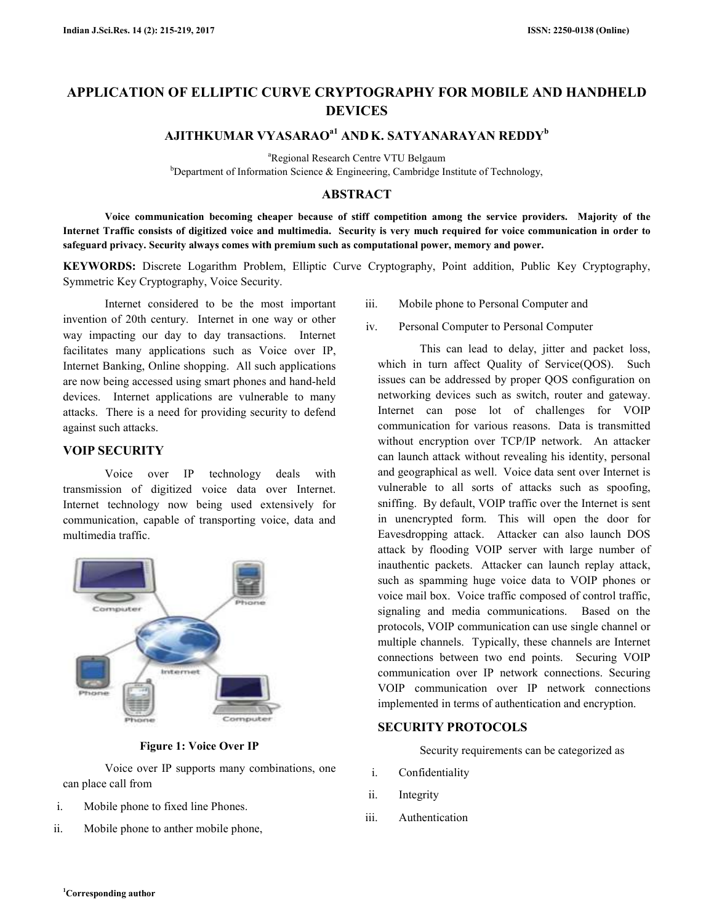# **APPLICATION OF ELLIPTIC CURVE CRYPTOGRAPHY FOR MOBILE AND HANDHELD MOBILE AND HANDHELD DEVICES**

# **AJITHKUMAR VYASARAO AJITHKUMAR VYASARAOa1 AND K. SATYANARAYAN REDDY b**

<sup>a</sup>Regional Research Centre VTU Belgaum

<sup>b</sup>Department of Information Science  $\&$  Engineering, Cambridge Institute of Technology,

## **ABSTRACT**

**Voice communication becoming cheaper because of stiff competition among the service providers. Majority of the**  Voice communication becoming cheaper because of stiff competition among the service providers. Majority of the<br>Internet Traffic consists of digitized voice and multimedia. Security is very much required for voice communica **safeguard privacy. Security always comes with premium such as computational power, memory and power. memory** 

**KEYWORDS:** Discrete Logarithm Problem, Elliptic Curve Cryptography, Point addition, Public Key Cryptography, Symmetric Key Cryptography, Voice Security.<br>
Internet considered to be the most important iii. Mobile phone to P Symmetric Key Cryptography, Voice Security.

Internet considered to be the most important invention of 20th century. Internet in one way or other way impacting our day to day transactions. Internet facilitates many applications such as Voice over IP, Internet Banking, Online shopping. All such applications are now being accessed using smart phones and hand-held devices. Internet applications are vulnerable to many attacks. There is a need for providing security to defend against such attacks.

## **VOIP SECURITY**

Voice over IP technology deals with The discussion of digitized voice data over Internet.<br>
The digitized voice data over Internet.<br>
also with transmission of digitized voice data over Internet. Internet technology now being used extensively for Internet technology now being used extensively for communication, capable of transporting voice, data and multimedia traffic.



**Figure 1: Voice Over IP** 

Voice over IP supports many combinations, one can place call from

- i. Mobile phone to fixed line Phones.
- ii. Mobile phone to anther mobile phone,
- Mobile phone to Personal Computer and
- iv. Personal Computer to Personal Computer

iii. Mobile phone to Personal Computer and<br>ther<br>trat<br>ther<br>ther<br>these iv. Personal Computer to Personal Compute<br>ther<br>there is exercuence the dealy, jitter and<br>ons which in turn affect Quality of Service(C<br>issues can be addr This can lead to delay, jitter and packet loss, which in turn affect Quality of Service(QOS). Such issues can be addressed by proper QOS configuration on networking devices such as switch, router and gateway. Internet can pose lot of challenges for VOIP communication for various reasons. Data is transmitted without encryption over TCP/IP network. An attacker can launch attack without revealing his identity, personal and geographical as well. Voice data sent over Internet is vulnerable to all sorts of attacks such as spoofing, sniffing. By default, VOIP traffic over the Internet is sent in unencrypted form. This will open the door for Eavesdropping attack. Attacker can also launch DOS Eavesdropping attack. Attacker can also launch DOS<br>attack by flooding VOIP server with large number of inauthentic packets. Attacker can launch replay attack, such as spamming huge voice data to VOIP phones or inauthentic packets. Attacker can launch replay attack, such as spamming huge voice data to VOIP phones or voice mail box. Voice traffic composed of control traffic, signaling and media communications. Based on the protocols, VOIP communication can use single channel or signaling and media communications. Based on the protocols, VOIP communication can use single channel or multiple channels. Typically, these channels are Internet connections between two end points. Securing VOIP communication over IP network connections. Securing VOIP communication over IP network connections implemented in terms of authentication and encryption. his can lead to delay, jitter and packet loss,<br>turn affect Quality of Service(QOS). Such<br>be addressed by proper QOS configuration on eographical as well. Voice data sent over Internet is<br>rable to all sorts of attacks such as spoofing,<br>ng. By default, VOIP traffic over the Internet is sent ween two end points. Securing VOIP<br>over IP network connections. Securing<br>ication over IP network connections<br>erms of authentication and encryption.<br>**ROTOCOLS**<br>requirements can be categorized as

#### **SECURITY PROTOCOLS**

Security requirements can be categorized as

- i. Confidentiality
- ii. Integrity
- iii. Authentication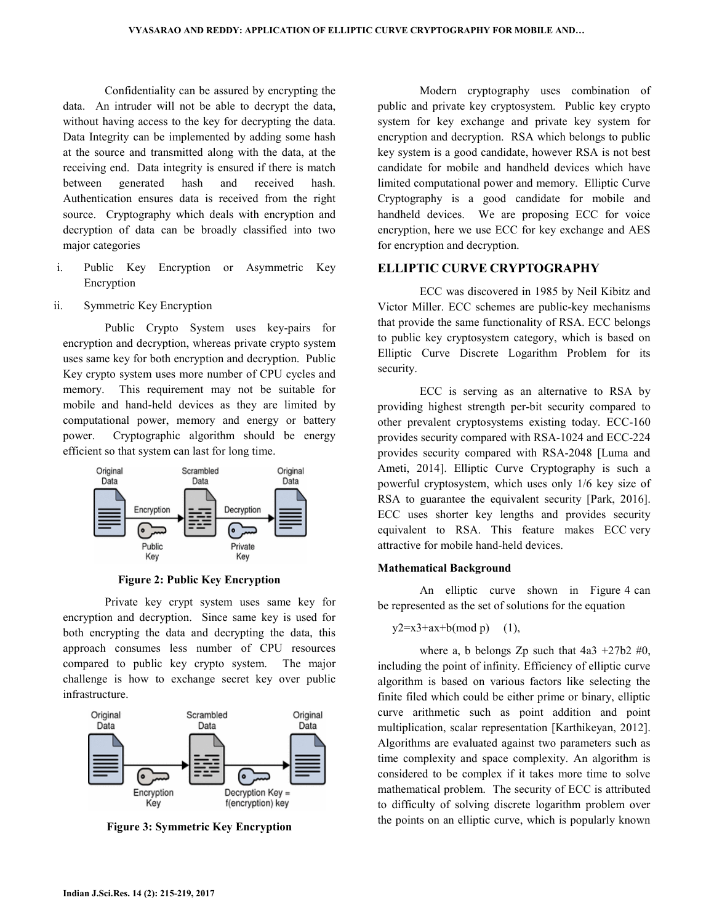Confidentiality can be assured by encrypting the data. An intruder will not be able to decrypt the data, without having access to the key for decrypting the data. Data Integrity can be implemented by adding some hash at the source and transmitted along with the data, at the receiving end. Data integrity is ensured if there is match between generated hash and received hash. Authentication ensures data is received from the right source. Cryptography which deals with encryption and decryption of data can be broadly classified into two major categories

- i. Public Key Encryption or Asymmetric Key Encryption
- ii. Symmetric Key Encryption

 Public Crypto System uses key-pairs for encryption and decryption, whereas private crypto system uses same key for both encryption and decryption. Public Key crypto system uses more number of CPU cycles and memory. This requirement may not be suitable for mobile and hand-held devices as they are limited by computational power, memory and energy or battery power. Cryptographic algorithm should be energy efficient so that system can last for long time.



**Figure 2: Public Key Encryption**

 Private key crypt system uses same key for encryption and decryption. Since same key is used for both encrypting the data and decrypting the data, this approach consumes less number of CPU resources compared to public key crypto system. The major challenge is how to exchange secret key over public infrastructure.



**Figure 3: Symmetric Key Encryption** 

 Modern cryptography uses combination of public and private key cryptosystem. Public key crypto system for key exchange and private key system for encryption and decryption. RSA which belongs to public key system is a good candidate, however RSA is not best candidate for mobile and handheld devices which have limited computational power and memory. Elliptic Curve Cryptography is a good candidate for mobile and handheld devices. We are proposing ECC for voice encryption, here we use ECC for key exchange and AES for encryption and decryption.

## **ELLIPTIC CURVE CRYPTOGRAPHY**

 ECC was discovered in 1985 by Neil Kibitz and Victor Miller. ECC schemes are public-key mechanisms that provide the same functionality of RSA. ECC belongs to public key cryptosystem category, which is based on Elliptic Curve Discrete Logarithm Problem for its security.

 ECC is serving as an alternative to RSA by providing highest strength per-bit security compared to other prevalent cryptosystems existing today. ECC-160 provides security compared with RSA-1024 and ECC-224 provides security compared with RSA-2048 [Luma and Ameti, 2014]. Elliptic Curve Cryptography is such a powerful cryptosystem, which uses only 1/6 key size of RSA to guarantee the equivalent security [Park, 2016]. ECC uses shorter key lengths and provides security equivalent to RSA. This feature makes ECC very attractive for mobile hand-held devices.

#### **Mathematical Background**

 An elliptic curve shown in Figure 4 can be represented as the set of solutions for the equation

$$
y2=x3+ax+b(mod p) \quad (1),
$$

where a, b belongs Zp such that  $4a3 + 27b2 \neq 0$ , including the point of infinity. Efficiency of elliptic curve algorithm is based on various factors like selecting the finite filed which could be either prime or binary, elliptic curve arithmetic such as point addition and point multiplication, scalar representation [Karthikeyan, 2012]. Algorithms are evaluated against two parameters such as time complexity and space complexity. An algorithm is considered to be complex if it takes more time to solve mathematical problem. The security of ECC is attributed to difficulty of solving discrete logarithm problem over the points on an elliptic curve, which is popularly known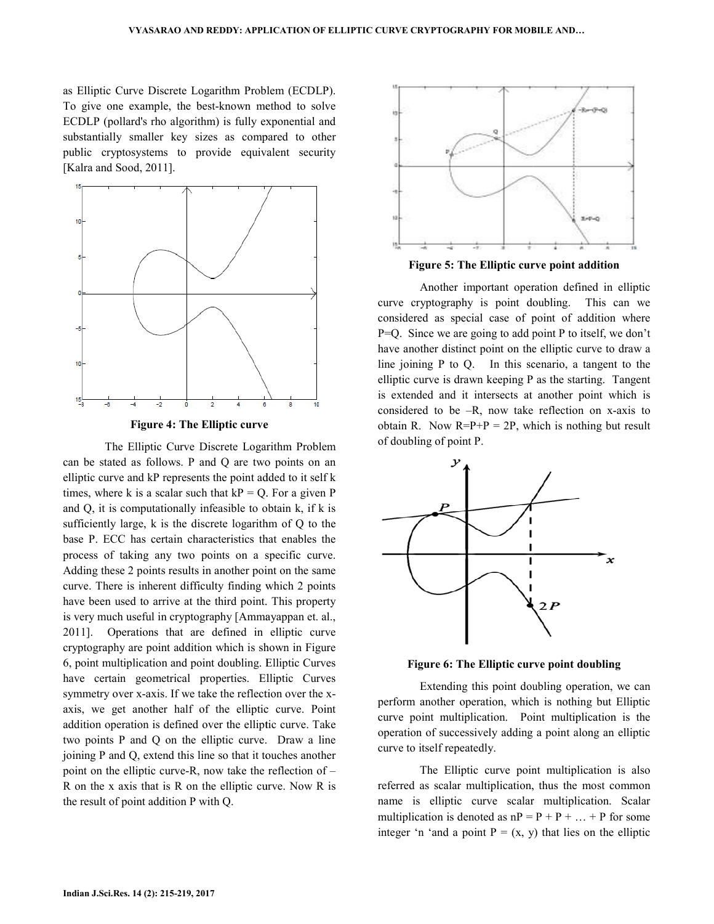as Elliptic Curve Discrete Logarithm Problem (ECDLP). To give one example, the best-known method to solve ECDLP (pollard's rho algorithm) is fully exponential and substantially smaller key sizes as compared to other public cryptosystems to provide equivalent security [Kalra and Sood, 2011].



**Figure 4: The Elliptic curve**

The Elliptic Curve Discrete Logarithm Problem can be stated as follows. P and Q are two points on an elliptic curve and kP represents the point added to it self k k times, where k is a scalar such that  $kP = Q$ . For a given P and  $Q$ , it is computationally infeasible to obtain  $k$ , if  $k$  is sufficiently large,  $k$  is the discrete logarithm of  $Q$  to the base P. ECC has certain characteristics that enables the process of taking any two points on a specific curve. Adding these 2 points results in another point on the same curve. There is inherent difficulty finding which 2 points have been used to arrive at the third point. This property is very much useful in cryptography [Ammayappan et. al., 2011]. Operations that are defined in elliptic curve 2011]. Operations that are defined in elliptic curve cryptography are point addition which is shown in Figure 6, point multiplication and point doubling. Elliptic Curves have certain geometrical properties. Elliptic Curves symmetry over x-axis. If we take the reflection over the xaxis, we get another half of the elliptic curve. Point addition operation is defined over the elliptic curve. Take two points P and Q on the elliptic curve. Draw a line joining P and Q, extend this line so that it touches another joining P and Q, extend this line so that it touches another<br>point on the elliptic curve-R, now take the reflection of –  $R$  on the x axis that is  $R$  on the elliptic curve. Now  $R$  is the result of point addition P with Q.



**Figure 5: The Elliptic curve point addition addition**

 Another important operation defined in elliptic curve cryptography is point doubling. This can we Another important operation defined in elliptic<br>curve cryptography is point doubling. This can we<br>considered as special case of point of addition where  $P=Q$ . Since we are going to add point P to itself, we don't have another distinct point on the elliptic curve to draw a line joining  $P$  to  $Q$ . In this scenario, a tangent to the elliptic curve is drawn keeping  $P$  as the starting. Tangent is extended and it intersects at another point which is considered to be  $-R$ , now take reflection on x-axis to obtain R. Now  $R = P + P = 2P$ , which is nothing but result of doubling of point P.



Figure 6: The Elliptic curve point doubling

Extending this point doubling operation, we can another operation, which is nothing but Elliptic perform another operation, which is nothing but Elliptic curve point multiplication. Point multiplication is the operation of successively adding a point along an elliptic curve to itself repeatedly.

The Elliptic curve point multiplication is also referred as scalar multiplication, thus the most common name is elliptic curve scalar multiplication. Scalar multiplication is denoted as  $nP = P + P + ... + P$  for some integer 'n 'and a point  $P = (x, y)$  that lies on the elliptic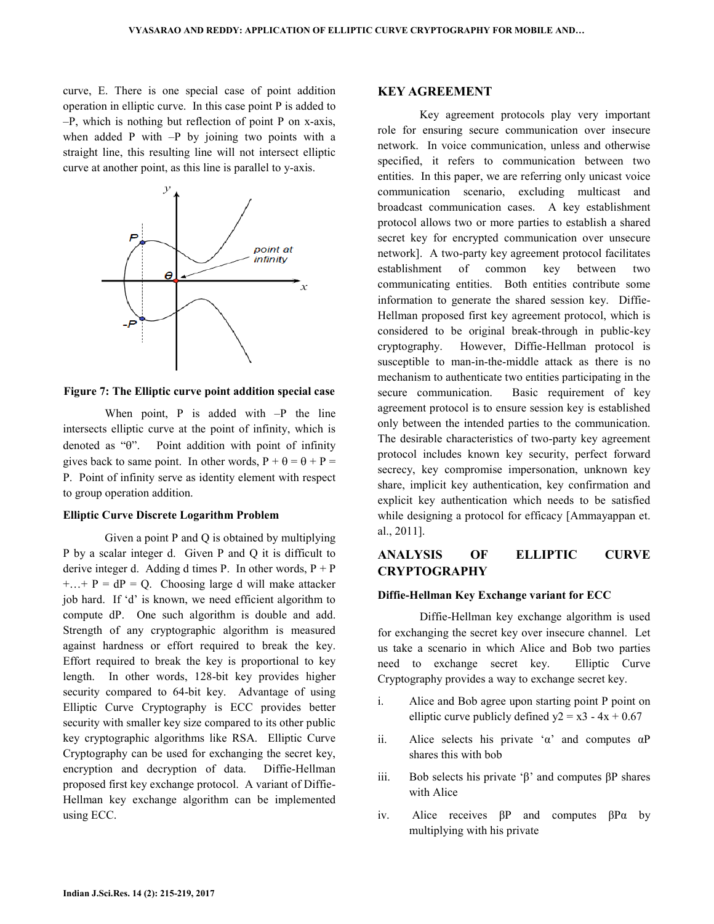curve, E. There is one special case of point addition operation in elliptic curve. In this case point P is added to –P, which is nothing but reflection of point P on x-axis, when added P with  $-P$  by joining two points with a straight line, this resulting line will not intersect elliptic curve at another point, as this line is parallel to y-axis.



**Figure 7: The Elliptic curve point addition special case**

When point,  $P$  is added with  $-P$  the line intersects elliptic curve at the point of infinity, which is denoted as "θ". Point addition with point of infinity gives back to same point. In other words,  $P + \theta = \theta + P =$ P. Point of infinity serve as identity element with respect to group operation addition.

#### **Elliptic Curve Discrete Logarithm Problem**

 Given a point P and Q is obtained by multiplying P by a scalar integer d. Given P and Q it is difficult to derive integer d. Adding d times P. In other words,  $P + P$  $+...+P = dP = Q$ . Choosing large d will make attacker job hard. If 'd' is known, we need efficient algorithm to compute dP. One such algorithm is double and add. Strength of any cryptographic algorithm is measured against hardness or effort required to break the key. Effort required to break the key is proportional to key length. In other words, 128-bit key provides higher security compared to 64-bit key. Advantage of using Elliptic Curve Cryptography is ECC provides better security with smaller key size compared to its other public key cryptographic algorithms like RSA. Elliptic Curve Cryptography can be used for exchanging the secret key, encryption and decryption of data. Diffie-Hellman proposed first key exchange protocol. A variant of Diffie-Hellman key exchange algorithm can be implemented using ECC.

#### **KEY AGREEMENT**

 Key agreement protocols play very important role for ensuring secure communication over insecure network. In voice communication, unless and otherwise specified, it refers to communication between two entities. In this paper, we are referring only unicast voice communication scenario, excluding multicast and broadcast communication cases. A key establishment protocol allows two or more parties to establish a shared secret key for encrypted communication over unsecure network]. A two-party key agreement protocol facilitates establishment of common key between two communicating entities. Both entities contribute some information to generate the shared session key. Diffie-Hellman proposed first key agreement protocol, which is considered to be original break-through in public-key cryptography. However, Diffie-Hellman protocol is susceptible to man-in-the-middle attack as there is no mechanism to authenticate two entities participating in the secure communication. Basic requirement of key agreement protocol is to ensure session key is established only between the intended parties to the communication. The desirable characteristics of two-party key agreement protocol includes known key security, perfect forward secrecy, key compromise impersonation, unknown key share, implicit key authentication, key confirmation and explicit key authentication which needs to be satisfied while designing a protocol for efficacy [Ammayappan et. al., 2011].

## **ANALYSIS OF ELLIPTIC CURVE CRYPTOGRAPHY**

#### **Diffie-Hellman Key Exchange variant for ECC**

 Diffie-Hellman key exchange algorithm is used for exchanging the secret key over insecure channel. Let us take a scenario in which Alice and Bob two parties need to exchange secret key. Elliptic Curve Cryptography provides a way to exchange secret key.

- i. Alice and Bob agree upon starting point P point on elliptic curve publicly defined  $y2 = x3 - 4x + 0.67$
- ii. Alice selects his private ' $\alpha$ ' and computes  $\alpha$ P shares this with bob
- iii. Bob selects his private 'β' and computes βP shares with Alice
- iv. Alice receives βP and computes βPα by multiplying with his private